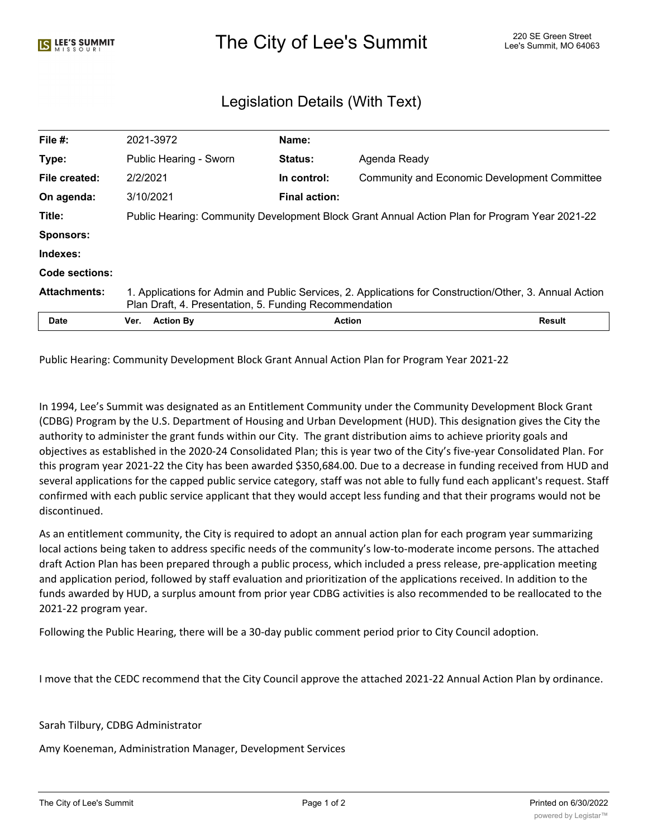## The City of Lee's Summit The City of Lee's Summit 220 SE Green Street

## Legislation Details (With Text)

| File #:             | 2021-3972                                                                                                                                                         | Name:                |                                              |               |
|---------------------|-------------------------------------------------------------------------------------------------------------------------------------------------------------------|----------------------|----------------------------------------------|---------------|
| Type:               | Public Hearing - Sworn                                                                                                                                            | <b>Status:</b>       | Agenda Ready                                 |               |
| File created:       | 2/2/2021                                                                                                                                                          | In control:          | Community and Economic Development Committee |               |
| On agenda:          | 3/10/2021                                                                                                                                                         | <b>Final action:</b> |                                              |               |
| Title:              | Public Hearing: Community Development Block Grant Annual Action Plan for Program Year 2021-22                                                                     |                      |                                              |               |
| <b>Sponsors:</b>    |                                                                                                                                                                   |                      |                                              |               |
| Indexes:            |                                                                                                                                                                   |                      |                                              |               |
| Code sections:      |                                                                                                                                                                   |                      |                                              |               |
| <b>Attachments:</b> | 1. Applications for Admin and Public Services, 2. Applications for Construction/Other, 3. Annual Action<br>Plan Draft, 4. Presentation, 5. Funding Recommendation |                      |                                              |               |
| <b>Date</b>         | <b>Action By</b><br>Ver.                                                                                                                                          | <b>Action</b>        |                                              | <b>Result</b> |

Public Hearing: Community Development Block Grant Annual Action Plan for Program Year 2021-22

In 1994, Lee's Summit was designated as an Entitlement Community under the Community Development Block Grant (CDBG) Program by the U.S. Department of Housing and Urban Development (HUD). This designation gives the City the authority to administer the grant funds within our City. The grant distribution aims to achieve priority goals and objectives as established in the 2020-24 Consolidated Plan; this is year two of the City's five-year Consolidated Plan. For this program year 2021-22 the City has been awarded \$350,684.00. Due to a decrease in funding received from HUD and several applications for the capped public service category, staff was not able to fully fund each applicant's request. Staff confirmed with each public service applicant that they would accept less funding and that their programs would not be discontinued.

As an entitlement community, the City is required to adopt an annual action plan for each program year summarizing local actions being taken to address specific needs of the community's low-to-moderate income persons. The attached draft Action Plan has been prepared through a public process, which included a press release, pre-application meeting and application period, followed by staff evaluation and prioritization of the applications received. In addition to the funds awarded by HUD, a surplus amount from prior year CDBG activities is also recommended to be reallocated to the 2021-22 program year.

Following the Public Hearing, there will be a 30-day public comment period prior to City Council adoption.

I move that the CEDC recommend that the City Council approve the attached 2021-22 Annual Action Plan by ordinance.

## Sarah Tilbury, CDBG Administrator

Amy Koeneman, Administration Manager, Development Services